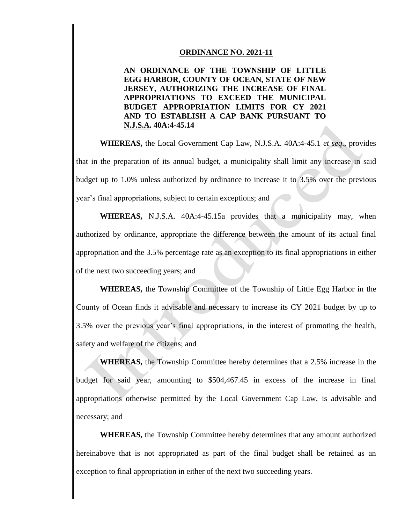## **ORDINANCE NO. 2021-11**

**AN ORDINANCE OF THE TOWNSHIP OF LITTLE EGG HARBOR, COUNTY OF OCEAN, STATE OF NEW JERSEY, AUTHORIZING THE INCREASE OF FINAL APPROPRIATIONS TO EXCEED THE MUNICIPAL BUDGET APPROPRIATION LIMITS FOR CY 2021 AND TO ESTABLISH A CAP BANK PURSUANT TO N.J.S.A. 40A:4-45.14**

**WHEREAS,** the Local Government Cap Law, N.J.S.A. 40A:4-45.1 *et seq*., provides that in the preparation of its annual budget, a municipality shall limit any increase in said budget up to 1.0% unless authorized by ordinance to increase it to 3.5% over the previous year's final appropriations, subject to certain exceptions; and

WHEREAS, N.J.S.A. 40A:4-45.15a provides that a municipality may, when authorized by ordinance, appropriate the difference between the amount of its actual final appropriation and the 3.5% percentage rate as an exception to its final appropriations in either of the next two succeeding years; and

**WHEREAS,** the Township Committee of the Township of Little Egg Harbor in the County of Ocean finds it advisable and necessary to increase its CY 2021 budget by up to 3.5% over the previous year's final appropriations, in the interest of promoting the health, safety and welfare of the citizens; and

**WHEREAS,** the Township Committee hereby determines that a 2.5% increase in the budget for said year, amounting to \$504,467.45 in excess of the increase in final appropriations otherwise permitted by the Local Government Cap Law, is advisable and necessary; and

**WHEREAS,** the Township Committee hereby determines that any amount authorized hereinabove that is not appropriated as part of the final budget shall be retained as an exception to final appropriation in either of the next two succeeding years.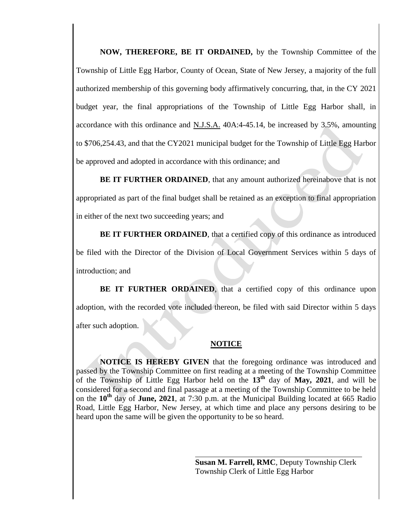**NOW, THEREFORE, BE IT ORDAINED,** by the Township Committee of the Township of Little Egg Harbor, County of Ocean, State of New Jersey, a majority of the full authorized membership of this governing body affirmatively concurring, that, in the CY 2021 budget year, the final appropriations of the Township of Little Egg Harbor shall, in accordance with this ordinance and N.J.S.A. 40A:4-45.14, be increased by 3.5%, amounting to \$706,254.43, and that the CY2021 municipal budget for the Township of Little Egg Harbor be approved and adopted in accordance with this ordinance; and

**BE IT FURTHER ORDAINED**, that any amount authorized hereinabove that is not appropriated as part of the final budget shall be retained as an exception to final appropriation in either of the next two succeeding years; and

**BE IT FURTHER ORDAINED**, that a certified copy of this ordinance as introduced be filed with the Director of the Division of Local Government Services within 5 days of introduction; and

**BE IT FURTHER ORDAINED**, that a certified copy of this ordinance upon adoption, with the recorded vote included thereon, be filed with said Director within 5 days after such adoption.

## **NOTICE**

**NOTICE IS HEREBY GIVEN** that the foregoing ordinance was introduced and passed by the Township Committee on first reading at a meeting of the Township Committee of the Township of Little Egg Harbor held on the **13th** day of **May, 2021**, and will be considered for a second and final passage at a meeting of the Township Committee to be held on the **10th** day of **June, 2021**, at 7:30 p.m. at the Municipal Building located at 665 Radio Road, Little Egg Harbor, New Jersey, at which time and place any persons desiring to be heard upon the same will be given the opportunity to be so heard.

> **Susan M. Farrell, RMC**, Deputy Township Clerk Township Clerk of Little Egg Harbor